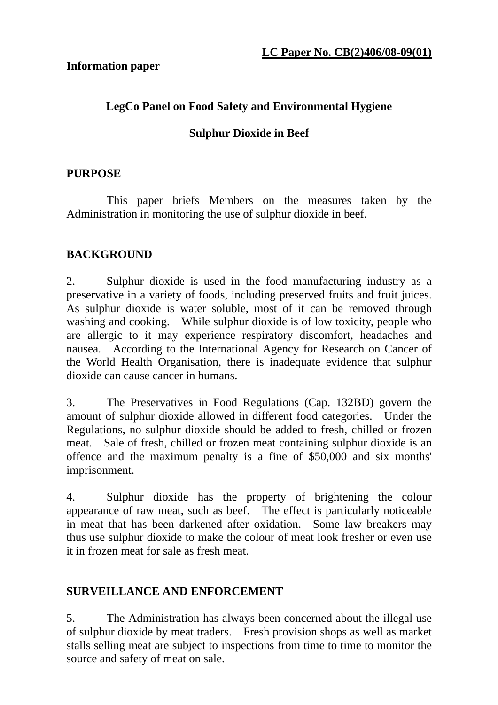#### **Information paper**

## **LegCo Panel on Food Safety and Environmental Hygiene**

## **Sulphur Dioxide in Beef**

### **PURPOSE**

 This paper briefs Members on the measures taken by the Administration in monitoring the use of sulphur dioxide in beef.

# **BACKGROUND**

2. Sulphur dioxide is used in the food manufacturing industry as a preservative in a variety of foods, including preserved fruits and fruit juices. As sulphur dioxide is water soluble, most of it can be removed through washing and cooking. While sulphur dioxide is of low toxicity, people who are allergic to it may experience respiratory discomfort, headaches and nausea. According to the International Agency for Research on Cancer of the World Health Organisation, there is inadequate evidence that sulphur dioxide can cause cancer in humans.

3. The Preservatives in Food Regulations (Cap. 132BD) govern the amount of sulphur dioxide allowed in different food categories. Under the Regulations, no sulphur dioxide should be added to fresh, chilled or frozen meat. Sale of fresh, chilled or frozen meat containing sulphur dioxide is an offence and the maximum penalty is a fine of \$50,000 and six months' imprisonment.

4. Sulphur dioxide has the property of brightening the colour appearance of raw meat, such as beef. The effect is particularly noticeable in meat that has been darkened after oxidation. Some law breakers may thus use sulphur dioxide to make the colour of meat look fresher or even use it in frozen meat for sale as fresh meat.

# **SURVEILLANCE AND ENFORCEMENT**

5. The Administration has always been concerned about the illegal use of sulphur dioxide by meat traders. Fresh provision shops as well as market stalls selling meat are subject to inspections from time to time to monitor the source and safety of meat on sale.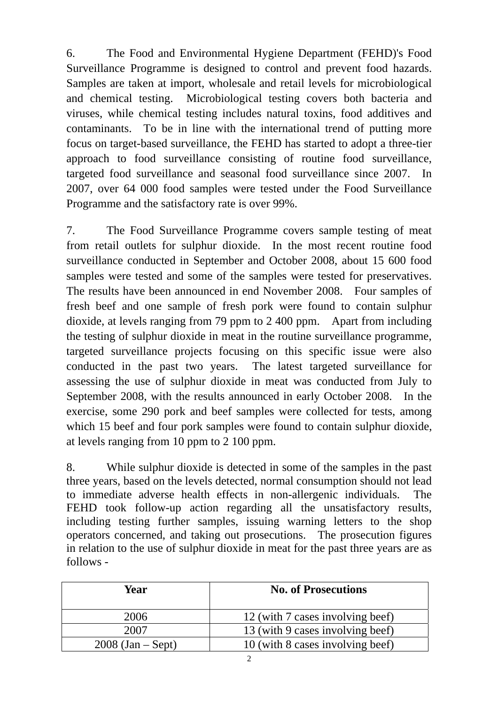6. The Food and Environmental Hygiene Department (FEHD)'s Food Surveillance Programme is designed to control and prevent food hazards. Samples are taken at import, wholesale and retail levels for microbiological and chemical testing. Microbiological testing covers both bacteria and viruses, while chemical testing includes natural toxins, food additives and contaminants. To be in line with the international trend of putting more focus on target-based surveillance, the FEHD has started to adopt a three-tier approach to food surveillance consisting of routine food surveillance, targeted food surveillance and seasonal food surveillance since 2007. In 2007, over 64 000 food samples were tested under the Food Surveillance Programme and the satisfactory rate is over 99%.

7. The Food Surveillance Programme covers sample testing of meat from retail outlets for sulphur dioxide. In the most recent routine food surveillance conducted in September and October 2008, about 15 600 food samples were tested and some of the samples were tested for preservatives. The results have been announced in end November 2008. Four samples of fresh beef and one sample of fresh pork were found to contain sulphur dioxide, at levels ranging from 79 ppm to 2 400 ppm. Apart from including the testing of sulphur dioxide in meat in the routine surveillance programme, targeted surveillance projects focusing on this specific issue were also conducted in the past two years. The latest targeted surveillance for assessing the use of sulphur dioxide in meat was conducted from July to September 2008, with the results announced in early October 2008. In the exercise, some 290 pork and beef samples were collected for tests, among which 15 beef and four pork samples were found to contain sulphur dioxide, at levels ranging from 10 ppm to 2 100 ppm.

8. While sulphur dioxide is detected in some of the samples in the past three years, based on the levels detected, normal consumption should not lead to immediate adverse health effects in non-allergenic individuals. The FEHD took follow-up action regarding all the unsatisfactory results, including testing further samples, issuing warning letters to the shop operators concerned, and taking out prosecutions. The prosecution figures in relation to the use of sulphur dioxide in meat for the past three years are as follows -

| Year                | <b>No. of Prosecutions</b>       |
|---------------------|----------------------------------|
| 2006                | 12 (with 7 cases involving beef) |
| 2007                | 13 (with 9 cases involving beef) |
| $2008$ (Jan – Sept) | 10 (with 8 cases involving beef) |